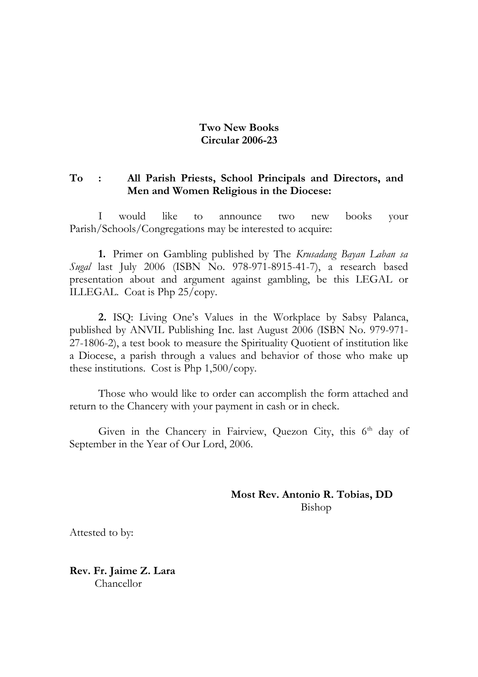#### **Two New Books Circular 2006-23**

#### **To : All Parish Priests, School Principals and Directors, and Men and Women Religious in the Diocese:**

I would like to announce two new books your Parish/Schools/Congregations may be interested to acquire:

**1.** Primer on Gambling published by The *Krusadang Bayan Laban sa Sugal* last July 2006 (ISBN No. 978-971-8915-41-7), a research based presentation about and argument against gambling, be this LEGAL or ILLEGAL. Coat is Php 25/copy.

**2.** ISQ: Living One's Values in the Workplace by Sabsy Palanca, published by ANVIL Publishing Inc. last August 2006 (ISBN No. 979-971- 27-1806-2), a test book to measure the Spirituality Quotient of institution like a Diocese, a parish through a values and behavior of those who make up these institutions. Cost is Php 1,500/copy.

Those who would like to order can accomplish the form attached and return to the Chancery with your payment in cash or in check.

Given in the Chancery in Fairview, Quezon City, this  $6<sup>th</sup>$  day of September in the Year of Our Lord, 2006.

> **Most Rev. Antonio R. Tobias, DD** Bishop

Attested to by:

**Rev. Fr. Jaime Z. Lara** Chancellor